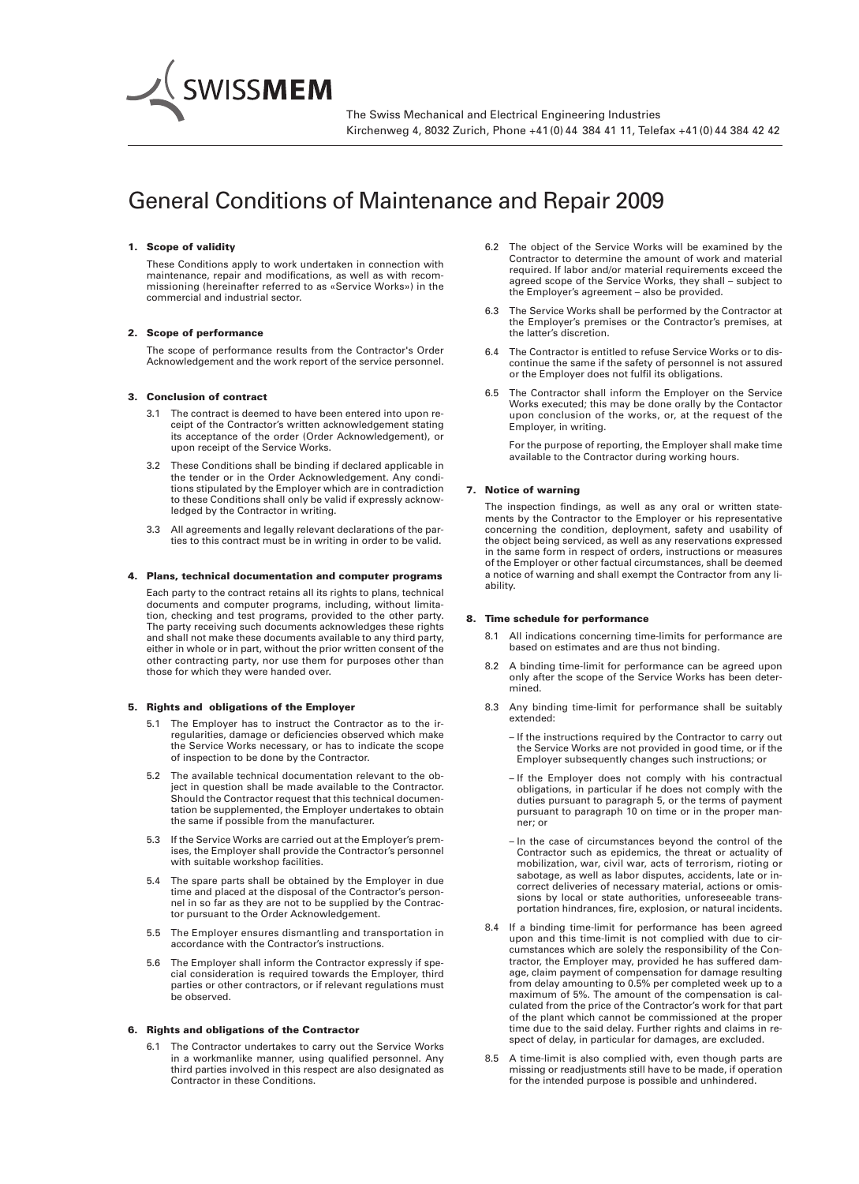

# General Conditions of Maintenance and Repair 2009

# 1. Scope of validity

These Conditions apply to work undertaken in connection with maintenance, repair and modifications, as well as with recommissioning (hereinafter referred to as «Service Works») in the commercial and industrial sector.

#### 2. Scope of performance

The scope of performance results from the Contractor's Order Acknowledgement and the work report of the service personnel.

# 3. Conclusion of contract

- 3.1 The contract is deemed to have been entered into upon receipt of the Contractor's written acknowledgement stating its acceptance of the order (Order Acknowledgement), or upon receipt of the Service Works.
- 3.2 These Conditions shall be binding if declared applicable in the tender or in the Order Acknowledgement. Any conditions stipulated by the Employer which are in contradiction to these Conditions shall only be valid if expressly acknowledged by the Contractor in writing.
- 3.3 All agreements and legally relevant declarations of the parties to this contract must be in writing in order to be valid.

# 4. Plans, technical documentation and computer programs

Each party to the contract retains all its rights to plans, technical documents and computer programs, including, without limitation, checking and test programs, provided to the other party. The party receiving such documents acknowledges these rights and shall not make these documents available to any third party, either in whole or in part, without the prior written consent of the other contracting party, nor use them for purposes other than those for which they were handed over.

#### 5. Rights and obligations of the Employer

- 5.1 The Employer has to instruct the Contractor as to the irregularities, damage or deficiencies observed which make the Service Works necessary, or has to indicate the scope of inspection to be done by the Contractor.
- 5.2 The available technical documentation relevant to the object in question shall be made available to the Contractor. Should the Contractor request that this technical documentation be supplemented, the Employer undertakes to obtain the same if possible from the manufacturer.
- 5.3 If the Service Works are carried out at the Employer's premises, the Employer shall provide the Contractor's personnel with suitable workshop facilities.
- 5.4 The spare parts shall be obtained by the Employer in due time and placed at the disposal of the Contractor's personnel in so far as they are not to be supplied by the Contractor pursuant to the Order Acknowledgement.
- 5.5 The Employer ensures dismantling and transportation in accordance with the Contractor's instructions.
- 5.6 The Employer shall inform the Contractor expressly if special consideration is required towards the Employer, third parties or other contractors, or if relevant regulations must be observed.

#### 6. Rights and obligations of the Contractor

6.1 The Contractor undertakes to carry out the Service Works in a workmanlike manner, using qualified personnel. Any third parties involved in this respect are also designated as Contractor in these Conditions.

- 6.2 The object of the Service Works will be examined by the Contractor to determine the amount of work and material required. If labor and/or material requirements exceed the agreed scope of the Service Works, they shall – subject to the Employer's agreement – also be provided.
- 6.3 The Service Works shall be performed by the Contractor at the Employer's premises or the Contractor's premises, at the latter's discretion.
- 6.4 The Contractor is entitled to refuse Service Works or to discontinue the same if the safety of personnel is not assured or the Employer does not fulfil its obligations.
- 6.5 The Contractor shall inform the Employer on the Service Works executed; this may be done orally by the Contactor upon conclusion of the works, or, at the request of the Employer, in writing.

For the purpose of reporting, the Employer shall make time available to the Contractor during working hours.

# 7. Notice of warning

The inspection findings, as well as any oral or written statements by the Contractor to the Employer or his representative concerning the condition, deployment, safety and usability of the object being serviced, as well as any reservations expressed in the same form in respect of orders, instructions or measures of the Employer or other factual circumstances, shall be deemed a notice of warning and shall exempt the Contractor from any liability.

#### 8. Time schedule for performance

- 8.1 All indications concerning time-limits for performance are based on estimates and are thus not binding.
- 8.2 A binding time-limit for performance can be agreed upon only after the scope of the Service Works has been determined.
- 8.3 Any binding time-limit for performance shall be suitably extended:
	- If the instructions required by the Contractor to carry out the Service Works are not provided in good time, or if the Employer subsequently changes such instructions; or
	- If the Employer does not comply with his contractual obligations, in particular if he does not comply with the duties pursuant to paragraph 5, or the terms of payment pursuant to paragraph 10 on time or in the proper manner; or
	- In the case of circumstances beyond the control of the Contractor such as epidemics, the threat or actuality of mobilization, war, civil war, acts of terrorism, rioting or sabotage, as well as labor disputes, accidents, late or incorrect deliveries of necessary material, actions or omissions by local or state authorities, unforeseeable transportation hindrances, fire, explosion, or natural incidents.
- 8.4 If a binding time-limit for performance has been agreed upon and this time-limit is not complied with due to circumstances which are solely the responsibility of the Contractor, the Employer may, provided he has suffered damage, claim payment of compensation for damage resulting from delay amounting to 0.5% per completed week up to a maximum of 5%. The amount of the compensation is calculated from the price of the Contractor's work for that part of the plant which cannot be commissioned at the proper time due to the said delay. Further rights and claims in respect of delay, in particular for damages, are excluded.
- 8.5 A time-limit is also complied with, even though parts are missing or readjustments still have to be made, if operation for the intended purpose is possible and unhindered.